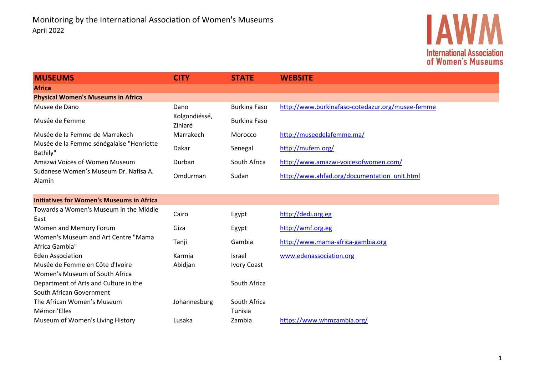

| <b>MUSEUMS</b>                                                    | <b>CITY</b>              | <b>STATE</b>        | <b>WEBSITE</b>                                   |
|-------------------------------------------------------------------|--------------------------|---------------------|--------------------------------------------------|
| <b>Africa</b>                                                     |                          |                     |                                                  |
| <b>Physical Women's Museums in Africa</b>                         |                          |                     |                                                  |
| Musee de Dano                                                     | Dano                     | <b>Burkina Faso</b> | http://www.burkinafaso-cotedazur.org/musee-femme |
| Musée de Femme                                                    | Kolgondiéssé,<br>Ziniaré | <b>Burkina Faso</b> |                                                  |
| Musée de la Femme de Marrakech                                    | Marrakech                | Morocco             | http://museedelafemme.ma/                        |
| Musée de la Femme sénégalaise "Henriette<br>Bathily"              | Dakar                    | Senegal             | http://mufem.org/                                |
| Amazwi Voices of Women Museum                                     | Durban                   | South Africa        | http://www.amazwi-voicesofwomen.com/             |
| Sudanese Women's Museum Dr. Nafisa A.<br>Alamin                   | Omdurman                 | Sudan               | http://www.ahfad.org/documentation_unit.html     |
| <b>Initiatives for Women's Museums in Africa</b>                  |                          |                     |                                                  |
| Towards a Women's Museum in the Middle<br>East                    | Cairo                    | Egypt               | http://dedi.org.eg                               |
| Women and Memory Forum                                            | Giza                     | Egypt               | http://wmf.org.eg                                |
| Women's Museum and Art Centre "Mama<br>Africa Gambia"             | Tanji                    | Gambia              | http://www.mama-africa-gambia.org                |
| <b>Eden Association</b>                                           | Karmia                   | <b>Israel</b>       | www.edenassociation.org                          |
| Musée de Femme en Côte d'Ivoire<br>Women's Museum of South Africa | Abidjan                  | <b>Ivory Coast</b>  |                                                  |
| Department of Arts and Culture in the                             |                          | South Africa        |                                                  |
| South African Government                                          |                          |                     |                                                  |
| The African Women's Museum                                        | Johannesburg             | South Africa        |                                                  |
| Mémori'Elles                                                      |                          | Tunisia             |                                                  |
| Museum of Women's Living History                                  | Lusaka                   | Zambia              | https://www.whmzambia.org/                       |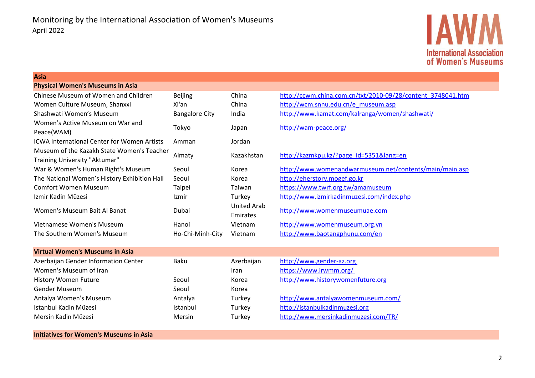

#### **Asia**

| <b>Physical Women's Museums in Asia</b>            |                       |             |                                                             |
|----------------------------------------------------|-----------------------|-------------|-------------------------------------------------------------|
| Chinese Museum of Women and Children               | <b>Beijing</b>        | China       | http://ccwm.china.com.cn/txt/2010-09/28/content_3748041.htm |
| Women Culture Museum, Shanxxi                      | Xi'an                 | China       | http://wcm.snnu.edu.cn/e museum.asp                         |
| Shashwati Women's Museum                           | <b>Bangalore City</b> | India       | http://www.kamat.com/kalranga/women/shashwati/              |
| Women's Active Museum on War and                   | Tokyo                 | Japan       | http://wam-peace.org/                                       |
| Peace(WAM)                                         |                       |             |                                                             |
| <b>ICWA International Center for Women Artists</b> | Amman                 | Jordan      |                                                             |
| Museum of the Kazakh State Women's Teacher         | Almaty                | Kazakhstan  | http://kazmkpu.kz/?page id=5351⟨=en                         |
| Training University "Aktumar"                      |                       |             |                                                             |
| War & Women's Human Right's Museum                 | Seoul                 | Korea       | http://www.womenandwarmuseum.net/contents/main/main.asp     |
| The National Women's History Exhibition Hall       | Seoul                 | Korea       | http://eherstory.mogef.go.kr                                |
| <b>Comfort Women Museum</b>                        | Taipei                | Taiwan      | https://www.twrf.org.tw/amamuseum                           |
| Izmir Kadin Müzesi                                 | Izmir                 | Turkey      | http://www.izmirkadinmuzesi.com/index.php                   |
| Women's Museum Bait Al Banat                       | Dubai                 | United Arab |                                                             |
|                                                    |                       | Emirates    | http://www.womenmuseumuae.com                               |
| Vietnamese Women's Museum                          | Hanoi                 | Vietnam     | http://www.womenmuseum.org.vn                               |
| The Southern Women's Museum                        | Ho-Chi-Minh-City      | Vietnam     | http://www.baotangphunu.com/en                              |

| <b>Virtual Women's Museums in Asia</b> |          |            |                                      |
|----------------------------------------|----------|------------|--------------------------------------|
| Azerbaijan Gender Information Center   | Baku     | Azerbaijan | http://www.gender-az.org             |
| Women's Museum of Iran                 |          | Iran       | https://www.irwmm.org/               |
| <b>History Women Future</b>            | Seoul    | Korea      | http://www.historywomenfuture.org    |
| <b>Gender Museum</b>                   | Seoul    | Korea      |                                      |
| Antalya Women's Museum                 | Antalya  | Turkey     | http://www.antalyawomenmuseum.com/   |
| Istanbul Kadin Müzesi                  | Istanbul | Turkey     | http://istanbulkadinmuzesi.org       |
| Mersin Kadin Müzesi                    | Mersin   | Turkey     | http://www.mersinkadinmuzesi.com/TR/ |
|                                        |          |            |                                      |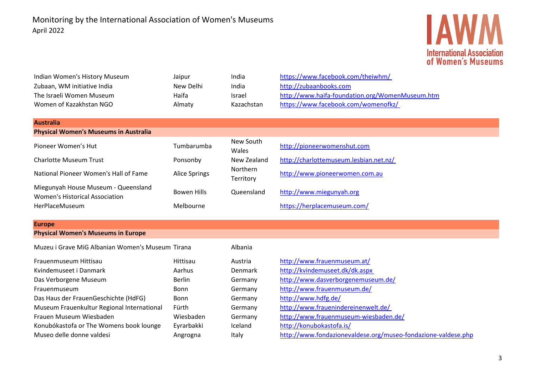# **IAWM International Association<br>of Women's Museums**

| Indian Women's History Museum                                                | Jaipur               | India                 | https://www.facebook.com/theiwhm/                             |
|------------------------------------------------------------------------------|----------------------|-----------------------|---------------------------------------------------------------|
| Zubaan, WM initiative India                                                  | New Delhi            | India                 | http://zubaanbooks.com                                        |
| The Israeli Women Museum                                                     | Haifa                | Israel                | http://www.haifa-foundation.org/WomenMuseum.htm               |
| Women of Kazakhstan NGO                                                      | Almaty               | Kazachstan            | https://www.facebook.com/womenofkz/                           |
|                                                                              |                      |                       |                                                               |
| <b>Australia</b>                                                             |                      |                       |                                                               |
| <b>Physical Women's Museums in Australia</b>                                 |                      |                       |                                                               |
| Pioneer Women's Hut                                                          | Tumbarumba           | New South<br>Wales    | http://pioneerwomenshut.com                                   |
| <b>Charlotte Museum Trust</b>                                                | Ponsonby             | New Zealand           | http://charlottemuseum.lesbian.net.nz/                        |
| National Pioneer Women's Hall of Fame                                        | <b>Alice Springs</b> | Northern<br>Territory | http://www.pioneerwomen.com.au                                |
| Miegunyah House Museum - Queensland<br><b>Women's Historical Association</b> | <b>Bowen Hills</b>   | Queensland            | http://www.miegunyah.org                                      |
| HerPlaceMuseum                                                               | Melbourne            |                       | https://herplacemuseum.com/                                   |
| <b>Europe</b>                                                                |                      |                       |                                                               |
| <b>Physical Women's Museums in Europe</b>                                    |                      |                       |                                                               |
| Muzeu i Grave MiG Albanian Women's Museum Tirana                             |                      | Albania               |                                                               |
| Frauenmuseum Hittisau                                                        | Hittisau             | Austria               | http://www.frauenmuseum.at/                                   |
| Kvindemuseet i Danmark                                                       | Aarhus               | Denmark               | http://kvindemuseet.dk/dk.aspx                                |
| Das Verborgene Museum                                                        | <b>Berlin</b>        | Germany               | http://www.dasverborgenemuseum.de/                            |
| Frauenmuseum                                                                 | Bonn                 | Germany               | http://www.frauenmuseum.de/                                   |
| Das Haus der FrauenGeschichte (HdFG)                                         | <b>Bonn</b>          | Germany               | http://www.hdfg.de/                                           |
| Museum Frauenkultur Regional International                                   | Fürth                | Germany               | http://www.frauenindereinenwelt.de/                           |
| Frauen Museum Wiesbaden                                                      | Wiesbaden            | Germany               | http://www.frauenmuseum-wiesbaden.de/                         |
| Konubókastofa or The Womens book lounge                                      | Eyrarbakki           | Iceland               | http://konubokastofa.is/                                      |
| Museo delle donne valdesi                                                    | Angrogna             | Italy                 | http://www.fondazionevaldese.org/museo-fondazione-valdese.php |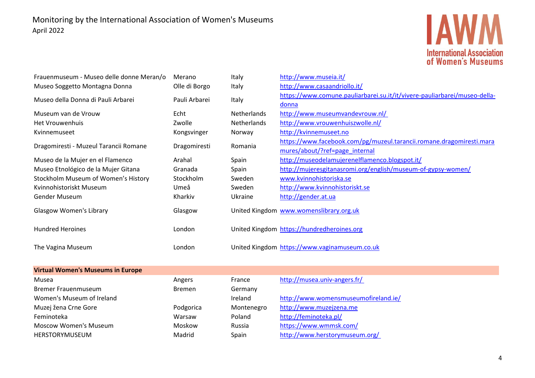

| Frauenmuseum - Museo delle donne Meran/o | Merano        | Italy       | http://www.museia.it/                                                                                  |
|------------------------------------------|---------------|-------------|--------------------------------------------------------------------------------------------------------|
| Museo Soggetto Montagna Donna            | Olle di Borgo | Italy       | http://www.casaandriollo.it/                                                                           |
| Museo della Donna di Pauli Arbarei       | Pauli Arbarei | Italy       | https://www.comune.pauliarbarei.su.it/it/vivere-pauliarbarei/museo-della-<br>donna                     |
| Museum van de Vrouw                      | Echt          | Netherlands | http://www.museumvandevrouw.nl/                                                                        |
| <b>Het Vrouwenhuis</b>                   | Zwolle        | Netherlands | http://www.vrouwenhuiszwolle.nl/                                                                       |
| Kvinnemuseet                             | Kongsvinger   | Norway      | http://kvinnemuseet.no                                                                                 |
| Dragomiresti - Muzeul Tarancii Romane    | Dragomiresti  | Romania     | https://www.facebook.com/pg/muzeul.tarancii.romane.dragomiresti.mara<br>mures/about/?ref=page internal |
| Museo de la Mujer en el Flamenco         | Arahal        | Spain       | http://museodelamujerenelflamenco.blogspot.it/                                                         |
| Museo Etnológico de la Mujer Gitana      | Granada       | Spain       | http://mujeresgitanasromi.org/english/museum-of-gypsy-women/                                           |
| Stockholm Museum of Women's History      | Stockholm     | Sweden      | www.kvinnohistoriska.se                                                                                |
| Kvinnohistoriskt Museum                  | Umeå          | Sweden      | http://www.kvinnohistoriskt.se                                                                         |
| Gender Museum                            | Kharkiv       | Ukraine     | http://gender.at.ua                                                                                    |
| <b>Glasgow Women's Library</b>           | Glasgow       |             | United Kingdom www.womenslibrary.org.uk                                                                |
| <b>Hundred Heroines</b>                  | London        |             | United Kingdom https://hundredheroines.org                                                             |
| The Vagina Museum                        | London        |             | United Kingdom https://www.vaginamuseum.co.uk                                                          |
| <b>Virtual Women's Museums in Europe</b> |               |             |                                                                                                        |
| Musea                                    | Angers        | France      | http://musea.univ-angers.fr/                                                                           |
| <b>Bremer Frauenmuseum</b>               | <b>Bremen</b> | Germany     |                                                                                                        |
| Women's Museum of Ireland                |               | Ireland     | http://www.womensmuseumofireland.ie/                                                                   |
| Muzej žena Crne Gore                     | Podgorica     | Montenegro  | http://www.muzejzena.me                                                                                |
| Feminoteka                               | Warsaw        | Poland      | http://feminoteka.pl/                                                                                  |
| <b>Moscow Women's Museum</b>             | Moskow        | Russia      | https://www.wmmsk.com/                                                                                 |
| HERSTORYMUSEUM                           | Madrid        | Spain       | http://www.herstorymuseum.org/                                                                         |
|                                          |               |             |                                                                                                        |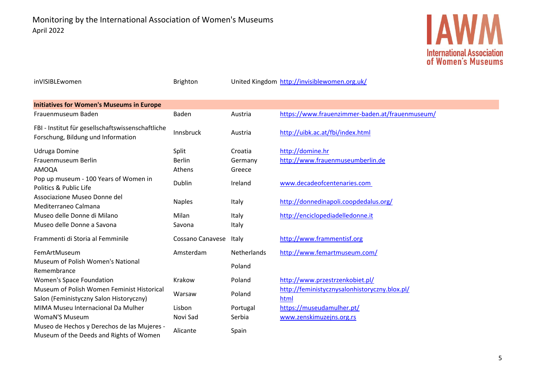

| inVISIBLEwomen                                                                          | <b>Brighton</b>         |             | United Kingdom http://invisiblewomen.org.uk/    |
|-----------------------------------------------------------------------------------------|-------------------------|-------------|-------------------------------------------------|
| <b>Initiatives for Women's Museums in Europe</b>                                        |                         |             |                                                 |
| Frauenmuseum Baden                                                                      | Baden                   | Austria     | https://www.frauenzimmer-baden.at/frauenmuseum/ |
| FBI - Institut für gesellschaftswissenschaftliche<br>Forschung, Bildung und Information | Innsbruck               | Austria     | http://uibk.ac.at/fbi/index.html                |
| Udruga Domine                                                                           | Split                   | Croatia     | http://domine.hr                                |
| Frauenmuseum Berlin                                                                     | <b>Berlin</b>           | Germany     | http://www.frauenmuseumberlin.de                |
| AMOQA                                                                                   | Athens                  | Greece      |                                                 |
| Pop up museum - 100 Years of Women in<br>Politics & Public Life                         | Dublin                  | Ireland     | www.decadeofcentenaries.com                     |
| Associazione Museo Donne del<br>Mediterraneo Calmana                                    | <b>Naples</b>           | Italy       | http://donnedinapoli.coopdedalus.org/           |
| Museo delle Donne di Milano                                                             | Milan                   | Italy       | http://enciclopediadelledonne.it                |
| Museo delle Donne a Savona                                                              | Savona                  | Italy       |                                                 |
| Frammenti di Storia al Femminile                                                        | <b>Cossano Canavese</b> | Italy       | http://www.frammentisf.org                      |
| FemArtMuseum                                                                            | Amsterdam               | Netherlands | http://www.femartmuseum.com/                    |
| Museum of Polish Women's National                                                       |                         | Poland      |                                                 |
| Remembrance                                                                             |                         |             |                                                 |
| Women's Space Foundation                                                                | Krakow                  | Poland      | http://www.przestrzenkobiet.pl/                 |
| Museum of Polish Women Feminist Historical                                              | Warsaw                  | Poland      | http://feministycznysalonhistoryczny.blox.pl/   |
| Salon (Feministyczny Salon Historyczny)                                                 |                         |             | html                                            |
| MIMA Museu Internacional Da Mulher                                                      | Lisbon                  | Portugal    | https://museudamulher.pt/                       |
| <b>WomaN'S Museum</b>                                                                   | Novi Sad                | Serbia      | www.zenskimuzejns.org.rs                        |
| Museo de Hechos y Derechos de las Mujeres -<br>Museum of the Deeds and Rights of Women  | Alicante                | Spain       |                                                 |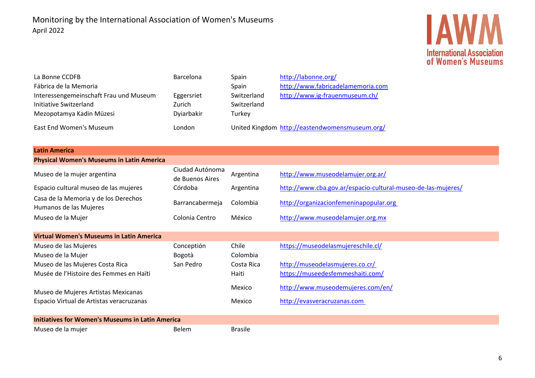## **IAWM International Association<br>of Women's Museums**

| La Bonne CCDFB<br>Fábrica de la Memoria<br>Interessengemeinschaft Frau und Museum<br>Initiative Switzerland<br>Mezopotamya Kadin Müzesi<br>East End Women's Museum | Barcelona<br>Eggersriet<br>Zurich<br>Dyiarbakir<br>London | Spain<br>Spain<br>Switzerland<br>Switzerland<br>Turkey | http://labonne.org/<br>http://www.fabricadelamemoria.com<br>http://www.ig-frauenmuseum.ch/<br>United Kingdom http://eastendwomensmuseum.org/ |
|--------------------------------------------------------------------------------------------------------------------------------------------------------------------|-----------------------------------------------------------|--------------------------------------------------------|----------------------------------------------------------------------------------------------------------------------------------------------|
|                                                                                                                                                                    |                                                           |                                                        |                                                                                                                                              |
| <b>Latin America</b>                                                                                                                                               |                                                           |                                                        |                                                                                                                                              |
| <b>Physical Women's Museums in Latin America</b>                                                                                                                   |                                                           |                                                        |                                                                                                                                              |
| Museo de la mujer argentina                                                                                                                                        | Ciudad Autónoma<br>de Buenos Aires                        | Argentina                                              | http://www.museodelamujer.org.ar/                                                                                                            |
| Espacio cultural museo de las mujeres                                                                                                                              | Córdoba                                                   | Argentina                                              | http://www.cba.gov.ar/espacio-cultural-museo-de-las-mujeres/                                                                                 |
| Casa de la Memoria y de los Derechos<br>Humanos de las Mujeres                                                                                                     | Barrancabermeja                                           | Colombia                                               | http://organizacionfemeninapopular.org                                                                                                       |
| Museo de la Mujer                                                                                                                                                  | Colonia Centro                                            | México                                                 | http://www.museodelamujer.org.mx                                                                                                             |
| <b>Virtual Women's Museums in Latin America</b>                                                                                                                    |                                                           |                                                        |                                                                                                                                              |
| Museo de las Mujeres                                                                                                                                               | Conceptión                                                | Chile                                                  | https://museodelasmujereschile.cl/                                                                                                           |
| Museo de la Mujer                                                                                                                                                  | Bogotà                                                    | Colombia                                               |                                                                                                                                              |
| Museo de las Mujeres Costa Rica                                                                                                                                    | San Pedro                                                 | Costa Rica                                             | http://museodelasmujeres.co.cr/                                                                                                              |
| Musée de l'Histoire des Femmes en Haïti                                                                                                                            |                                                           | Haiti                                                  | https://museedesfemmeshaiti.com/                                                                                                             |
| Museo de Mujeres Artistas Mexicanas                                                                                                                                |                                                           | Mexico                                                 | http://www.museodemujeres.com/en/                                                                                                            |
| Espacio Virtual de Artistas veracruzanas                                                                                                                           |                                                           | Mexico                                                 | http://evasveracruzanas.com                                                                                                                  |
| <b>Initiatives for Women's Museums in Latin America</b>                                                                                                            |                                                           |                                                        |                                                                                                                                              |
| Museo de la mujer                                                                                                                                                  | <b>Belem</b>                                              | <b>Brasile</b>                                         |                                                                                                                                              |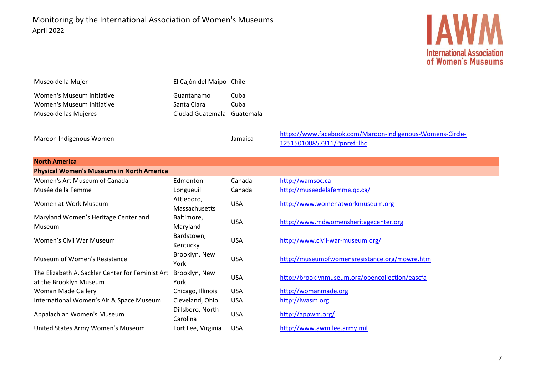Monitoring by the International Association of Women's Museums April 2022



| Museo de la Mujer         | El Cajón del Maipo Chile   |      |
|---------------------------|----------------------------|------|
| Women's Museum initiative | Guantanamo                 | Cuba |
| Women's Museum Initiative | Santa Clara                | Cuba |
| Museo de las Mujeres      | Ciudad Guatemala Guatemala |      |
|                           |                            |      |

Maroon Indigenous Women Jamaica

[https://www.facebook.com/Maroon-Indigenous-Womens-Circle-](https://www.facebook.com/Maroon-Indigenous-Womens-Circle-125150100857311/?pnref=lhc)[125150100857311/?pnref=lhc](https://www.facebook.com/Maroon-Indigenous-Womens-Circle-125150100857311/?pnref=lhc)

| <b>North America</b>                                                       |                              |            |                                                 |  |
|----------------------------------------------------------------------------|------------------------------|------------|-------------------------------------------------|--|
| <b>Physical Women's Museums in North America</b>                           |                              |            |                                                 |  |
| Women's Art Museum of Canada                                               | Edmonton                     | Canada     | http://wamsoc.ca                                |  |
| Musée de la Femme                                                          | Longueuil                    | Canada     | http://museedelafemme.qc.ca/                    |  |
| Women at Work Museum                                                       | Attleboro,<br>Massachusetts  | <b>USA</b> | http://www.womenatworkmuseum.org                |  |
| Maryland Women's Heritage Center and<br>Museum                             | Baltimore,<br>Maryland       | <b>USA</b> | http://www.mdwomensheritagecenter.org           |  |
| Women's Civil War Museum                                                   | Bardstown,<br>Kentucky       | <b>USA</b> | http://www.civil-war-museum.org/                |  |
| Museum of Women's Resistance                                               | Brooklyn, New<br>York        | <b>USA</b> | http://museumofwomensresistance.org/mowre.htm   |  |
| The Elizabeth A. Sackler Center for Feminist Art<br>at the Brooklyn Museum | Brooklyn, New<br>York        | <b>USA</b> | http://brooklynmuseum.org/opencollection/eascfa |  |
| Woman Made Gallery                                                         | Chicago, Illinois            | <b>USA</b> | http://womanmade.org                            |  |
| International Women's Air & Space Museum                                   | Cleveland, Ohio              | <b>USA</b> | http://iwasm.org                                |  |
| Appalachian Women's Museum                                                 | Dillsboro, North<br>Carolina | <b>USA</b> | http://appwm.org/                               |  |
| United States Army Women's Museum                                          | Fort Lee, Virginia           | <b>USA</b> | http://www.awm.lee.army.mil                     |  |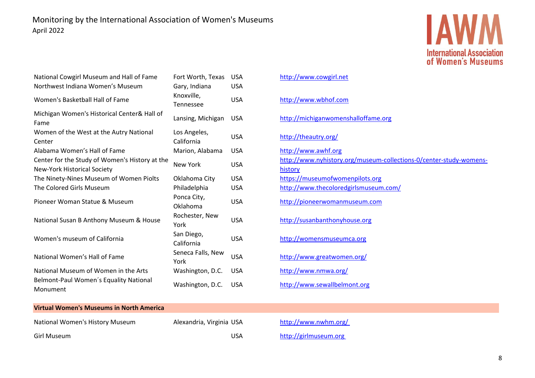

| National Cowgirl Museum and Hall of Fame<br>Northwest Indiana Women's Museum         | Fort Worth, Texas<br>Gary, Indiana | <b>USA</b><br><b>USA</b> |
|--------------------------------------------------------------------------------------|------------------------------------|--------------------------|
| Women's Basketball Hall of Fame                                                      | Knoxville,<br>Tennessee            | <b>USA</b>               |
| Michigan Women's Historical Center& Hall of<br>Fame                                  | Lansing, Michigan                  | <b>USA</b>               |
| Women of the West at the Autry National<br>Center                                    | Los Angeles,<br>California         | <b>USA</b>               |
| Alabama Women's Hall of Fame                                                         | Marion, Alabama                    | <b>USA</b>               |
| Center for the Study of Women's History at the<br><b>New-York Historical Society</b> | <b>New York</b>                    | <b>USA</b>               |
| The Ninety-Nines Museum of Women Piolts                                              | Oklahoma City                      | <b>USA</b>               |
| The Colored Girls Museum                                                             | Philadelphia                       | <b>USA</b>               |
| Pioneer Woman Statue & Museum                                                        | Ponca City,<br>Oklahoma            | USA                      |
| National Susan B Anthony Museum & House                                              | Rochester, New<br>York             | <b>USA</b>               |
| Women's museum of California                                                         | San Diego,<br>California           | USA                      |
| National Women's Hall of Fame                                                        | Seneca Falls, New<br>York          | <b>USA</b>               |
| National Museum of Women in the Arts                                                 | Washington, D.C.                   | <b>USA</b>               |
| Belmont-Paul Women's Equality National<br>Monument                                   | Washington, D.C.                   | <b>USA</b>               |

### [http://www.cowgirl.net](http://www.cowgirl.net/) [http://www.wbhof.com](http://www.wbhof.com/) [http://michiganwomenshalloffame.org](http://www.michiganwomenshalloffame.org/) <http://theautry.org/> [http://www.awhf.org](http://www.awhf.org/) [http://www.nyhistory.org/museum-collections-0/center-study-womens](http://www.nyhistory.org/museum-collections-0/center-study-womens-history)[history](http://www.nyhistory.org/museum-collections-0/center-study-womens-history) https://museumofwomenpilots.org <http://www.thecoloredgirlsmuseum.com/> [http://pioneerwomanmuseum.com](http://pioneerwomanmuseum.com/) [http://susanbanthonyhouse.org](http://susanbanthonyhouse.org/) [http://womensmuseumca.org](http://womensmuseumca.org/) <http://www.greatwomen.org/> <http://www.nmwa.org/> [http://www.sewallbelmont.org](http://www.sewallbelmont.org/)

#### **Virtual Women's Museums in North America**

| National Women's History Museum | Alexandria, Virginia US |    |
|---------------------------------|-------------------------|----|
| Girl Museum                     |                         | US |

 $A$  http://www.nwhm.org/ Girl Museum.org http://girlmuseum.org